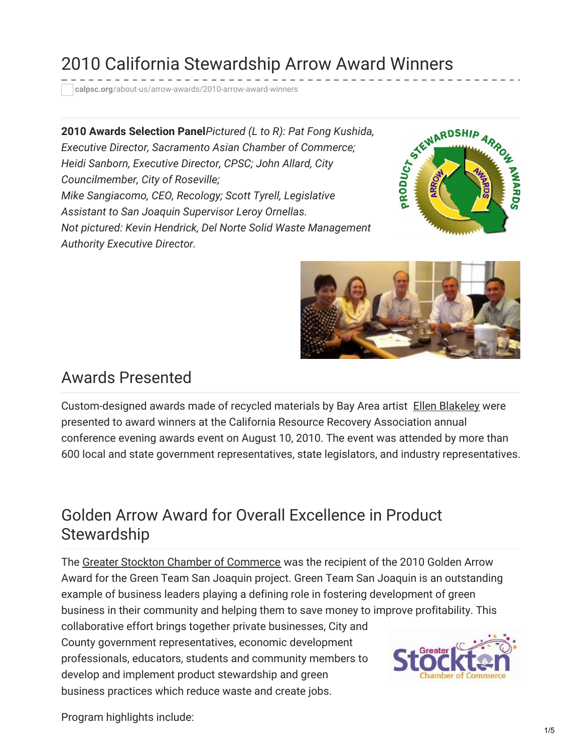# 2010 California Stewardship Arrow Award Winners

**calpsc.org**[/about-us/arrow-awards/2010-arrow-award-winners](https://calpsc.org/about-us/arrow-awards/2010-arrow-award-winners/)

**2010 Awards Selection Panel***Pictured (L to R): Pat Fong Kushida, Executive Director, Sacramento Asian Chamber of Commerce; Heidi Sanborn, Executive Director, CPSC; John Allard, City Councilmember, City of Roseville; Mike Sangiacomo, CEO, Recology; Scott Tyrell, Legislative Assistant to San Joaquin Supervisor Leroy Ornellas. Not pictured: Kevin Hendrick, Del Norte Solid Waste Management Authority Executive Director.*





#### Awards Presented

Custom-designed awards made of recycled materials by Bay Area artist Ellen [Blakeley](http://ellenblakeley.com/) were presented to award winners at the California Resource Recovery Association annual conference evening awards event on August 10, 2010. The event was attended by more than 600 local and state government representatives, state legislators, and industry representatives.

#### Golden Arrow Award for Overall Excellence in Product **Stewardship**

The Greater Stockton Chamber of [Commerce](http://www.stocktonchamber.org/) was the recipient of the 2010 Golden Arrow Award for the Green Team San Joaquin project. Green Team San Joaquin is an outstanding example of business leaders playing a defining role in fostering development of green business in their community and helping them to save money to improve profitability. This collaborative effort brings together private businesses, City and County government representatives, economic development professionals, educators, students and community members to develop and implement product stewardship and green business practices which reduce waste and create jobs.



Program highlights include: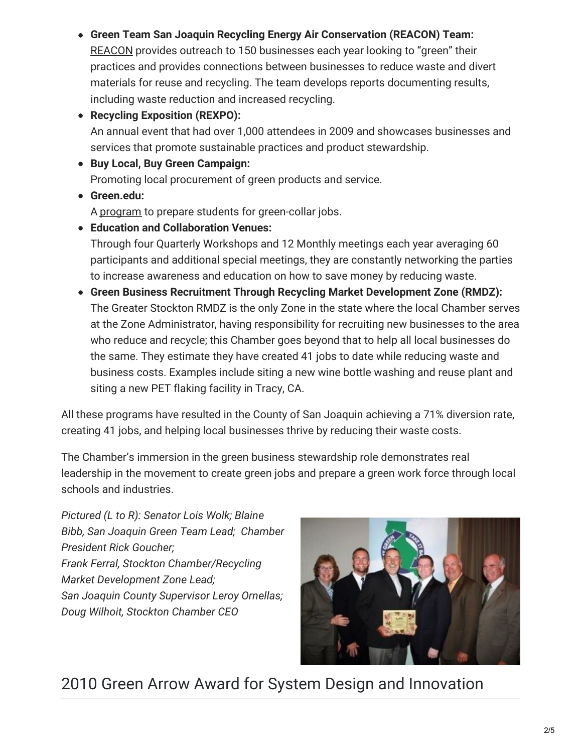**Green Team San Joaquin Recycling Energy Air Conservation (REACON) Team:** [REACON](http://www.greenteamsanjoaquin.com/REACON) provides outreach to 150 businesses each year looking to "green" their practices and provides connections between businesses to reduce waste and divert materials for reuse and recycling. The team develops reports documenting results, including waste reduction and increased recycling.

**Recycling Exposition (REXPO):** An annual event that had over 1,000 attendees in 2009 and showcases businesses and services that promote sustainable practices and product stewardship.

- **Buy Local, Buy Green Campaign:** Promoting local procurement of green products and service.
- **Green.edu:**

A [program](http://www.greenedu.com/) to prepare students for green-collar jobs.

- **Education and Collaboration Venues:** Through four Quarterly Workshops and 12 Monthly meetings each year averaging 60 participants and additional special meetings, they are constantly networking the parties to increase awareness and education on how to save money by reducing waste.
- **Green Business Recruitment Through Recycling Market Development Zone (RMDZ):** The Greater Stockton [RMDZ](http://www.sjgov.org/solidwaste/RMDZ.htm) is the only Zone in the state where the local Chamber serves at the Zone Administrator, having responsibility for recruiting new businesses to the area who reduce and recycle; this Chamber goes beyond that to help all local businesses do the same. They estimate they have created 41 jobs to date while reducing waste and business costs. Examples include siting a new wine bottle washing and reuse plant and siting a new PET flaking facility in Tracy, CA.

All these programs have resulted in the County of San Joaquin achieving a 71% diversion rate, creating 41 jobs, and helping local businesses thrive by reducing their waste costs.

The Chamber's immersion in the green business stewardship role demonstrates real leadership in the movement to create green jobs and prepare a green work force through local schools and industries.

*Pictured (L to R): Senator Lois Wolk; Blaine Bibb, San Joaquin Green Team Lead; Chamber President Rick Goucher; Frank Ferral, Stockton Chamber/Recycling Market Development Zone Lead; San Joaquin County Supervisor Leroy Ornellas; Doug Wilhoit, Stockton Chamber CEO*



## 2010 Green Arrow Award for System Design and Innovation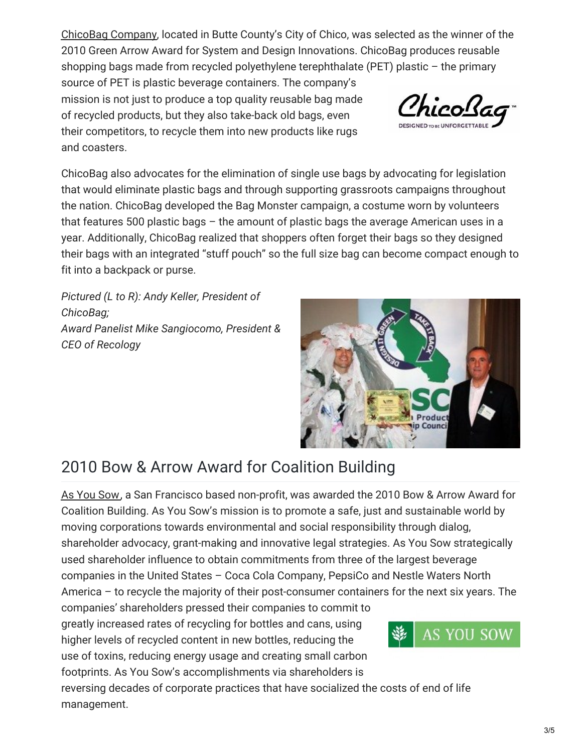[ChicoBag](http://www.chicobag.com/) Company, located in Butte County's City of Chico, was selected as the winner of the 2010 Green Arrow Award for System and Design Innovations. ChicoBag produces reusable shopping bags made from recycled polyethylene terephthalate (PET) plastic – the primary

source of PET is plastic beverage containers. The company's mission is not just to produce a top quality reusable bag made of recycled products, but they also take-back old bags, even their competitors, to recycle them into new products like rugs and coasters.



ChicoBag also advocates for the elimination of single use bags by advocating for legislation that would eliminate plastic bags and through supporting grassroots campaigns throughout the nation. ChicoBag developed the Bag Monster campaign, a costume worn by volunteers that features 500 plastic bags – the amount of plastic bags the average American uses in a year. Additionally, ChicoBag realized that shoppers often forget their bags so they designed their bags with an integrated "stuff pouch" so the full size bag can become compact enough to fit into a backpack or purse.

*Pictured (L to R): Andy Keller, President of ChicoBag; Award Panelist Mike Sangiocomo, President & CEO of Recology*



## 2010 Bow & Arrow Award for Coalition Building

As You [Sow](http://www.asyousow.org/), a San Francisco based non-profit, was awarded the 2010 Bow & Arrow Award for Coalition Building. As You Sow's mission is to promote a safe, just and sustainable world by moving corporations towards environmental and social responsibility through dialog, shareholder advocacy, grant-making and innovative legal strategies. As You Sow strategically used shareholder influence to obtain commitments from three of the largest beverage companies in the United States – Coca Cola Company, PepsiCo and Nestle Waters North America – to recycle the majority of their post-consumer containers for the next six years. The companies' shareholders pressed their companies to commit to

greatly increased rates of recycling for bottles and cans, using higher levels of recycled content in new bottles, reducing the use of toxins, reducing energy usage and creating small carbon footprints. As You Sow's accomplishments via shareholders is

reversing decades of corporate practices that have socialized the costs of end of life management.

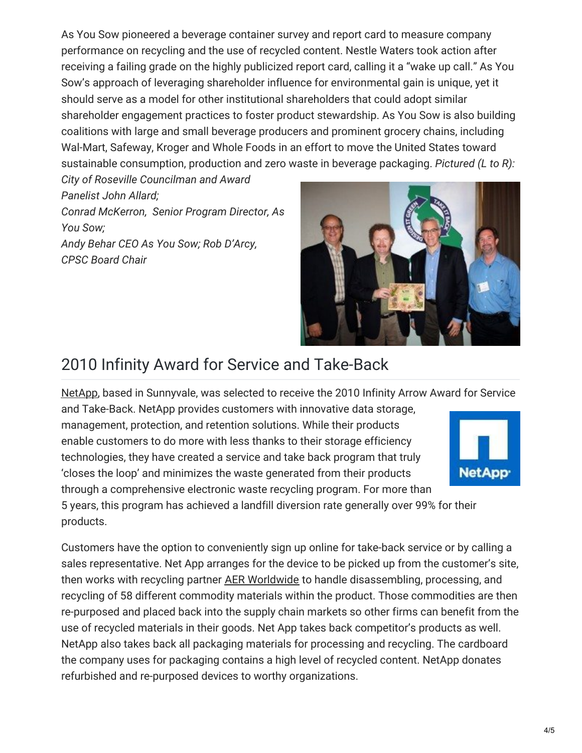As You Sow pioneered a beverage container survey and report card to measure company performance on recycling and the use of recycled content. Nestle Waters took action after receiving a failing grade on the highly publicized report card, calling it a "wake up call." As You Sow's approach of leveraging shareholder influence for environmental gain is unique, yet it should serve as a model for other institutional shareholders that could adopt similar shareholder engagement practices to foster product stewardship. As You Sow is also building coalitions with large and small beverage producers and prominent grocery chains, including Wal-Mart, Safeway, Kroger and Whole Foods in an effort to move the United States toward sustainable consumption, production and zero waste in beverage packaging. *Pictured (L to R):*

*City of Roseville Councilman and Award Panelist John Allard; Conrad McKerron, Senior Program Director, As You Sow; Andy Behar CEO As You Sow; Rob D'Arcy, CPSC Board Chair*

products.



## 2010 Infinity Award for Service and Take-Back

[NetApp](http://www.netapp.com/us/), based in Sunnyvale, was selected to receive the 2010 Infinity Arrow Award for Service

and Take-Back. NetApp provides customers with innovative data storage, management, protection, and retention solutions. While their products enable customers to do more with less thanks to their storage efficiency technologies, they have created a service and take back program that truly 'closes the loop' and minimizes the waste generated from their products through a comprehensive electronic waste recycling program. For more than 5 years, this program has achieved a landfill diversion rate generally over 99% for their



Customers have the option to conveniently sign up online for take-back service or by calling a sales representative. Net App arranges for the device to be picked up from the customer's site, then works with recycling partner AER [Worldwide](http://www.aerworldwide.com/) to handle disassembling, processing, and recycling of 58 different commodity materials within the product. Those commodities are then re-purposed and placed back into the supply chain markets so other firms can benefit from the use of recycled materials in their goods. Net App takes back competitor's products as well. NetApp also takes back all packaging materials for processing and recycling. The cardboard the company uses for packaging contains a high level of recycled content. NetApp donates refurbished and re-purposed devices to worthy organizations.